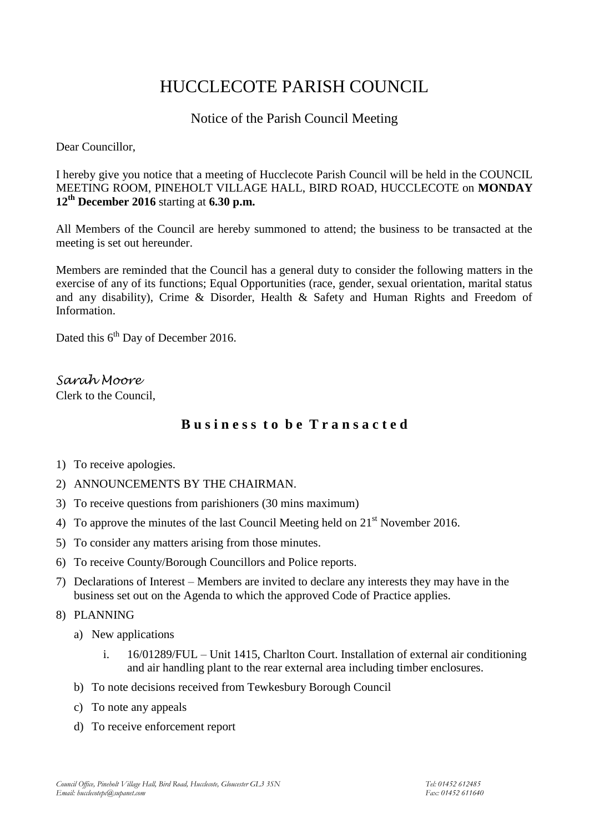# HUCCLECOTE PARISH COUNCIL

## Notice of the Parish Council Meeting

Dear Councillor,

I hereby give you notice that a meeting of Hucclecote Parish Council will be held in the COUNCIL MEETING ROOM, PINEHOLT VILLAGE HALL, BIRD ROAD, HUCCLECOTE on **MONDAY 12th December 2016** starting at **6.30 p.m.**

All Members of the Council are hereby summoned to attend; the business to be transacted at the meeting is set out hereunder.

Members are reminded that the Council has a general duty to consider the following matters in the exercise of any of its functions; Equal Opportunities (race, gender, sexual orientation, marital status and any disability), Crime & Disorder, Health & Safety and Human Rights and Freedom of Information.

Dated this 6<sup>th</sup> Day of December 2016.

*Sarah Moore* Clerk to the Council,

# **B u s i n e s s t o b e T r a n s a c t e d**

- 1) To receive apologies.
- 2) ANNOUNCEMENTS BY THE CHAIRMAN.
- 3) To receive questions from parishioners (30 mins maximum)
- 4) To approve the minutes of the last Council Meeting held on  $21<sup>st</sup>$  November 2016.
- 5) To consider any matters arising from those minutes.
- 6) To receive County/Borough Councillors and Police reports.
- 7) Declarations of Interest Members are invited to declare any interests they may have in the business set out on the Agenda to which the approved Code of Practice applies.

8) PLANNING

- a) New applications
	- i. 16/01289/FUL Unit 1415, Charlton Court. Installation of external air conditioning and air handling plant to the rear external area including timber enclosures.
- b) To note decisions received from Tewkesbury Borough Council
- c) To note any appeals
- d) To receive enforcement report